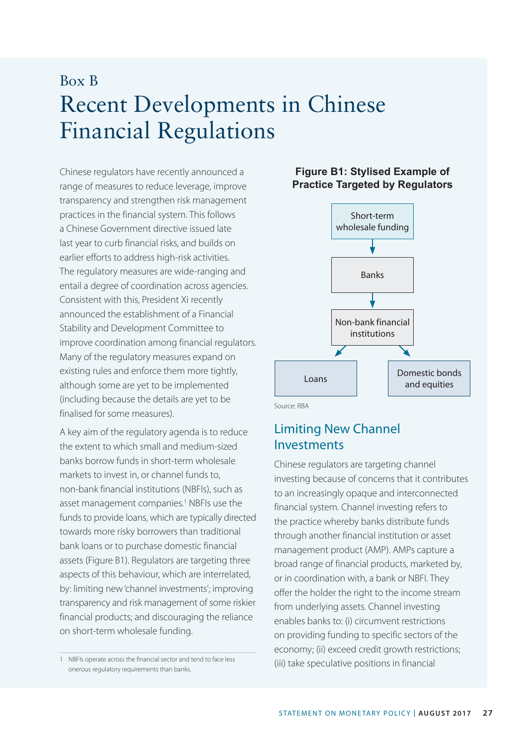# Box B Recent Developments in Chinese Financial Regulations

Chinese regulators have recently announced a range of measures to reduce leverage, improve transparency and strengthen risk management practices in the financial system. This follows a Chinese Government directive issued late last year to curb financial risks, and builds on earlier efforts to address high-risk activities. The regulatory measures are wide-ranging and entail a degree of coordination across agencies. Consistent with this, President Xi recently announced the establishment of a Financial Stability and Development Committee to improve coordination among financial regulators. Many of the regulatory measures expand on existing rules and enforce them more tightly, although some are yet to be implemented (including because the details are yet to be finalised for some measures).

A key aim of the regulatory agenda is to reduce the extent to which small and medium-sized banks borrow funds in short-term wholesale markets to invest in, or channel funds to, non-bank financial institutions (NBFIs), such as asset management companies.<sup>1</sup> NBFIs use the funds to provide loans, which are typically directed towards more risky borrowers than traditional bank loans or to purchase domestic financial assets (Figure B1). Regulators are targeting three aspects of this behaviour, which are interrelated, by: limiting new 'channel investments'; improving transparency and risk management of some riskier financial products; and discouraging the reliance on short-term wholesale funding.

#### **Figure B1: Stylised Example of Practice Targeted by Regulators**



Source: RBA

# Limiting New Channel Investments

Chinese regulators are targeting channel investing because of concerns that it contributes to an increasingly opaque and interconnected financial system. Channel investing refers to the practice whereby banks distribute funds through another financial institution or asset management product (AMP). AMPs capture a broad range of financial products, marketed by, or in coordination with, a bank or NBFI. They offer the holder the right to the income stream from underlying assets. Channel investing enables banks to: (i) circumvent restrictions on providing funding to specific sectors of the economy; (ii) exceed credit growth restrictions; (iii) take speculative positions in financial

<sup>1</sup> NBFIs operate across the financial sector and tend to face less onerous regulatory requirements than banks.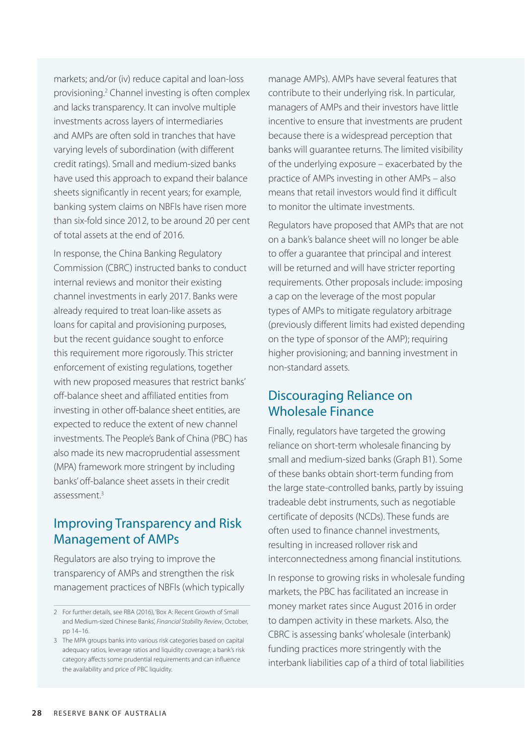markets; and/or (iv) reduce capital and loan-loss provisioning.2 Channel investing is often complex and lacks transparency. It can involve multiple investments across layers of intermediaries and AMPs are often sold in tranches that have varying levels of subordination (with different credit ratings). Small and medium-sized banks have used this approach to expand their balance sheets significantly in recent years; for example, banking system claims on NBFIs have risen more than six-fold since 2012, to be around 20 per cent of total assets at the end of 2016.

In response, the China Banking Regulatory Commission (CBRC) instructed banks to conduct internal reviews and monitor their existing channel investments in early 2017. Banks were already required to treat loan-like assets as loans for capital and provisioning purposes, but the recent guidance sought to enforce this requirement more rigorously. This stricter enforcement of existing regulations, together with new proposed measures that restrict banks' off-balance sheet and affiliated entities from investing in other off-balance sheet entities, are expected to reduce the extent of new channel investments. The People's Bank of China (PBC) has also made its new macroprudential assessment (MPA) framework more stringent by including banks' off-balance sheet assets in their credit assessment.3

# Improving Transparency and Risk Management of AMPs

Regulators are also trying to improve the transparency of AMPs and strengthen the risk management practices of NBFIs (which typically manage AMPs). AMPs have several features that contribute to their underlying risk. In particular, managers of AMPs and their investors have little incentive to ensure that investments are prudent because there is a widespread perception that banks will guarantee returns. The limited visibility of the underlying exposure – exacerbated by the practice of AMPs investing in other AMPs – also means that retail investors would find it difficult to monitor the ultimate investments.

Regulators have proposed that AMPs that are not on a bank's balance sheet will no longer be able to offer a guarantee that principal and interest will be returned and will have stricter reporting requirements. Other proposals include: imposing a cap on the leverage of the most popular types of AMPs to mitigate regulatory arbitrage (previously different limits had existed depending on the type of sponsor of the AMP); requiring higher provisioning; and banning investment in non-standard assets.

# Discouraging Reliance on Wholesale Finance

Finally, regulators have targeted the growing reliance on short-term wholesale financing by small and medium-sized banks (Graph B1). Some of these banks obtain short-term funding from the large state-controlled banks, partly by issuing tradeable debt instruments, such as negotiable certificate of deposits (NCDs). These funds are often used to finance channel investments, resulting in increased rollover risk and interconnectedness among financial institutions.

In response to growing risks in wholesale funding markets, the PBC has facilitated an increase in money market rates since August 2016 in order to dampen activity in these markets. Also, the CBRC is assessing banks' wholesale (interbank) funding practices more stringently with the interbank liabilities cap of a third of total liabilities

<sup>2</sup> For further details, see RBA (2016), 'Box A: Recent Growth of Small and Medium-sized Chinese Banks', *Financial Stability Review*, October, pp 14–16.

<sup>3</sup> The MPA groups banks into various risk categories based on capital adequacy ratios, leverage ratios and liquidity coverage; a bank's risk category affects some prudential requirements and can influence the availability and price of PBC liquidity.